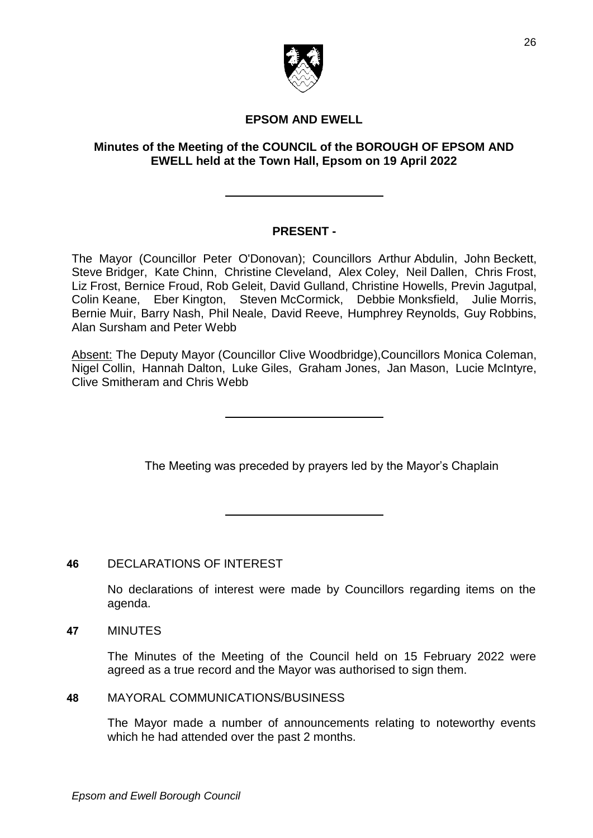

# **EPSOM AND EWELL**

### **Minutes of the Meeting of the COUNCIL of the BOROUGH OF EPSOM AND EWELL held at the Town Hall, Epsom on 19 April 2022**

## **PRESENT -**

The Mayor (Councillor Peter O'Donovan); Councillors Arthur Abdulin, John Beckett, Steve Bridger, Kate Chinn, Christine Cleveland, Alex Coley, Neil Dallen, Chris Frost, Liz Frost, Bernice Froud, Rob Geleit, David Gulland, Christine Howells, Previn Jagutpal, Colin Keane, Eber Kington, Steven McCormick, Debbie Monksfield, Julie Morris, Bernie Muir, Barry Nash, Phil Neale, David Reeve, Humphrey Reynolds, Guy Robbins, Alan Sursham and Peter Webb

Absent: The Deputy Mayor (Councillor Clive Woodbridge),Councillors Monica Coleman, Nigel Collin, Hannah Dalton, Luke Giles, Graham Jones, Jan Mason, Lucie McIntyre, Clive Smitheram and Chris Webb

The Meeting was preceded by prayers led by the Mayor's Chaplain

## **46** DECLARATIONS OF INTEREST

No declarations of interest were made by Councillors regarding items on the agenda.

**47** MINUTES

The Minutes of the Meeting of the Council held on 15 February 2022 were agreed as a true record and the Mayor was authorised to sign them.

### **48** MAYORAL COMMUNICATIONS/BUSINESS

The Mayor made a number of announcements relating to noteworthy events which he had attended over the past 2 months.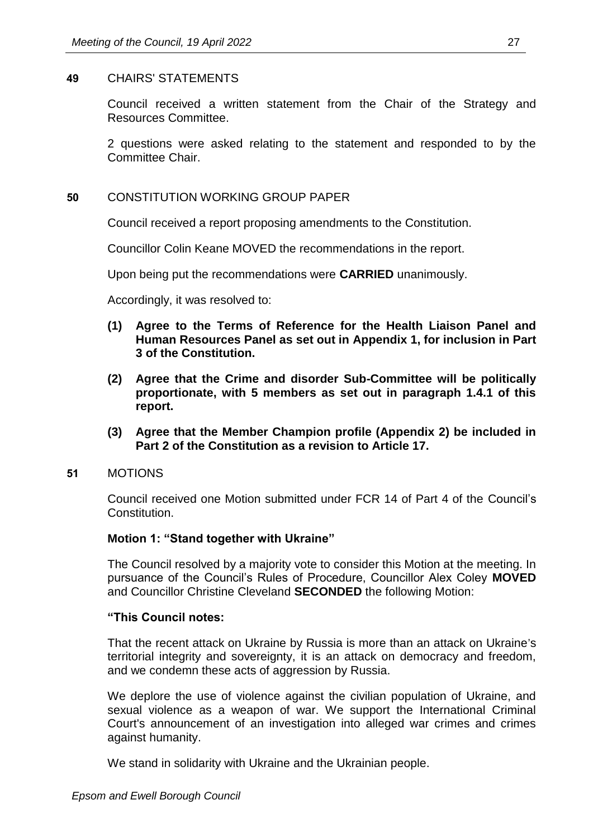#### **49** CHAIRS' STATEMENTS

Council received a written statement from the Chair of the Strategy and Resources Committee.

2 questions were asked relating to the statement and responded to by the Committee Chair.

#### **50** CONSTITUTION WORKING GROUP PAPER

Council received a report proposing amendments to the Constitution.

Councillor Colin Keane MOVED the recommendations in the report.

Upon being put the recommendations were **CARRIED** unanimously.

Accordingly, it was resolved to:

- **(1) Agree to the Terms of Reference for the Health Liaison Panel and Human Resources Panel as set out in Appendix 1, for inclusion in Part 3 of the Constitution.**
- **(2) Agree that the Crime and disorder Sub-Committee will be politically proportionate, with 5 members as set out in paragraph 1.4.1 of this report.**
- **(3) Agree that the Member Champion profile (Appendix 2) be included in Part 2 of the Constitution as a revision to Article 17.**
- **51** MOTIONS

Council received one Motion submitted under FCR 14 of Part 4 of the Council's Constitution.

#### **Motion 1: "Stand together with Ukraine"**

The Council resolved by a majority vote to consider this Motion at the meeting. In pursuance of the Council's Rules of Procedure, Councillor Alex Coley **MOVED**  and Councillor Christine Cleveland **SECONDED** the following Motion:

#### **"This Council notes:**

That the recent attack on Ukraine by Russia is more than an attack on Ukraine's territorial integrity and sovereignty, it is an attack on democracy and freedom, and we condemn these acts of aggression by Russia.

We deplore the use of violence against the civilian population of Ukraine, and sexual violence as a weapon of war. We support the International Criminal Court's announcement of an investigation into alleged war crimes and crimes against humanity.

We stand in solidarity with Ukraine and the Ukrainian people.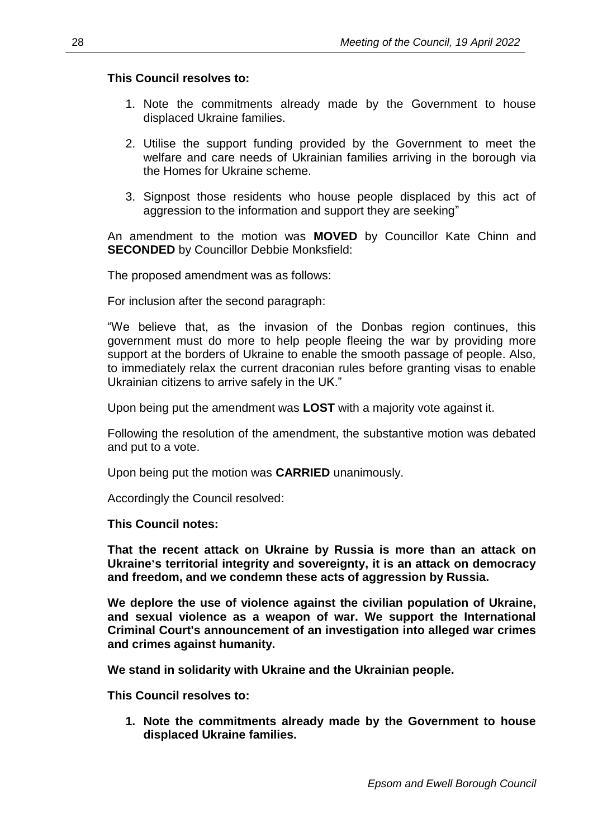### **This Council resolves to:**

- 1. Note the commitments already made by the Government to house displaced Ukraine families.
- 2. Utilise the support funding provided by the Government to meet the welfare and care needs of Ukrainian families arriving in the borough via the Homes for Ukraine scheme.
- 3. Signpost those residents who house people displaced by this act of aggression to the information and support they are seeking"

An amendment to the motion was **MOVED** by Councillor Kate Chinn and **SECONDED** by Councillor Debbie Monksfield:

The proposed amendment was as follows:

For inclusion after the second paragraph:

"We believe that, as the invasion of the Donbas region continues, this government must do more to help people fleeing the war by providing more support at the borders of Ukraine to enable the smooth passage of people. Also, to immediately relax the current draconian rules before granting visas to enable Ukrainian citizens to arrive safely in the UK."

Upon being put the amendment was **LOST** with a majority vote against it.

Following the resolution of the amendment, the substantive motion was debated and put to a vote.

Upon being put the motion was **CARRIED** unanimously.

Accordingly the Council resolved:

**This Council notes:**

**That the recent attack on Ukraine by Russia is more than an attack on Ukraine's territorial integrity and sovereignty, it is an attack on democracy and freedom, and we condemn these acts of aggression by Russia.** 

**We deplore the use of violence against the civilian population of Ukraine, and sexual violence as a weapon of war. We support the International Criminal Court's announcement of an investigation into alleged war crimes and crimes against humanity.**

**We stand in solidarity with Ukraine and the Ukrainian people.**

**This Council resolves to:** 

**1. Note the commitments already made by the Government to house displaced Ukraine families.**